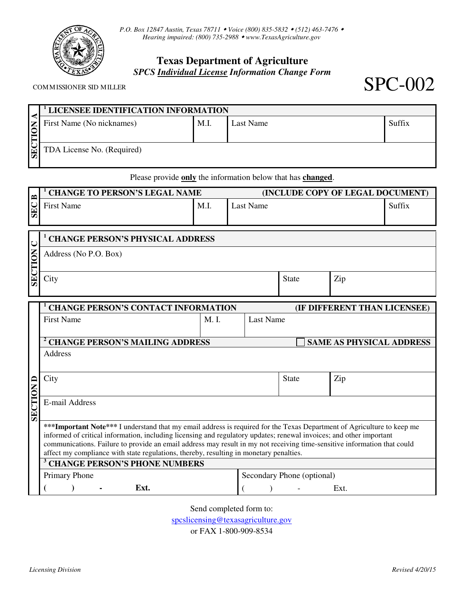

*P.O. Box 12847 Austin, Texas 78711 Voice (800) 835-5832 (512) 463-7476 Hearing impaired: (800) 735-2988 www.TexasAgriculture.gov* 

# **Texas Department of Agriculture**  *SPCS Individual License Information Change Form*

|                         | <sup>1</sup> LICENSEE IDENTIFICATION INFORMATION |      |           |        |  |  |  |
|-------------------------|--------------------------------------------------|------|-----------|--------|--|--|--|
| <b>NOIL</b>             | First Name (No nicknames)                        | M.I. | Last Name | Suffix |  |  |  |
|                         |                                                  |      |           |        |  |  |  |
| $\overline{\mathbb{E}}$ | TDA License No. (Required)                       |      |           |        |  |  |  |
|                         |                                                  |      |           |        |  |  |  |
|                         |                                                  |      | .         |        |  |  |  |

Please provide **only** the information below that has **changed**.

| $\approx$  | <b>CHANGE TO PERSON'S LEGAL NAME</b> |      | (INCLUDE COPY OF LEGAL DOCUMENT) |        |  |  |
|------------|--------------------------------------|------|----------------------------------|--------|--|--|
| <b>SEC</b> | <b>First Name</b>                    | M.I. | Last Name                        | Suttix |  |  |

| $\mathsf{K}$ |  | <b>CHANGE PERSON'S PHYSICAL ADDRESS</b>    |                              |           |     |  |  |  |  |
|--------------|--|--------------------------------------------|------------------------------|-----------|-----|--|--|--|--|
|              |  | Address (No P.O. Box)                      |                              |           |     |  |  |  |  |
|              |  |                                            |                              |           |     |  |  |  |  |
| SE           |  | City                                       |                              | State     | Zip |  |  |  |  |
|              |  |                                            |                              |           |     |  |  |  |  |
|              |  | <b>CHANGE PERSON'S CONTACT INFORMATION</b> | (IF DIFFERENT THAN LICENSEE) |           |     |  |  |  |  |
|              |  | <b>First Name</b>                          | M. I.                        | Last Name |     |  |  |  |  |

|                                                                                                                                                                                                                                                | <b>CHANGE PERSON'S MAILING ADDRESS</b>                                                 |  |                            | <b>SAME AS PHYSICAL ADDRESS</b> |      |  |  |                                                                                                                          |
|------------------------------------------------------------------------------------------------------------------------------------------------------------------------------------------------------------------------------------------------|----------------------------------------------------------------------------------------|--|----------------------------|---------------------------------|------|--|--|--------------------------------------------------------------------------------------------------------------------------|
|                                                                                                                                                                                                                                                | Address                                                                                |  |                            |                                 |      |  |  |                                                                                                                          |
|                                                                                                                                                                                                                                                |                                                                                        |  |                            |                                 |      |  |  |                                                                                                                          |
| ⊏                                                                                                                                                                                                                                              | City                                                                                   |  | <b>State</b>               |                                 | Zip  |  |  |                                                                                                                          |
| <b>SECTION</b>                                                                                                                                                                                                                                 |                                                                                        |  |                            |                                 |      |  |  |                                                                                                                          |
|                                                                                                                                                                                                                                                | E-mail Address                                                                         |  |                            |                                 |      |  |  |                                                                                                                          |
|                                                                                                                                                                                                                                                |                                                                                        |  |                            |                                 |      |  |  |                                                                                                                          |
| *** Important Note*** I understand that my email address is required for the Texas Department of Agriculture to keep me<br>informed of critical information, including licensing and regulatory updates; renewal invoices; and other important |                                                                                        |  |                            |                                 |      |  |  |                                                                                                                          |
|                                                                                                                                                                                                                                                |                                                                                        |  |                            |                                 |      |  |  | communications. Failure to provide an email address may result in my not receiving time-sensitive information that could |
|                                                                                                                                                                                                                                                | affect my compliance with state regulations, thereby, resulting in monetary penalties. |  |                            |                                 |      |  |  |                                                                                                                          |
| <b>CHANGE PERSON'S PHONE NUMBERS</b>                                                                                                                                                                                                           |                                                                                        |  |                            |                                 |      |  |  |                                                                                                                          |
|                                                                                                                                                                                                                                                | Primary Phone                                                                          |  | Secondary Phone (optional) |                                 |      |  |  |                                                                                                                          |
|                                                                                                                                                                                                                                                | Ext.                                                                                   |  |                            |                                 | Ext. |  |  |                                                                                                                          |

Send completed form to:

spcslicensing@texasagriculture.gov

or FAX 1-800-909-8534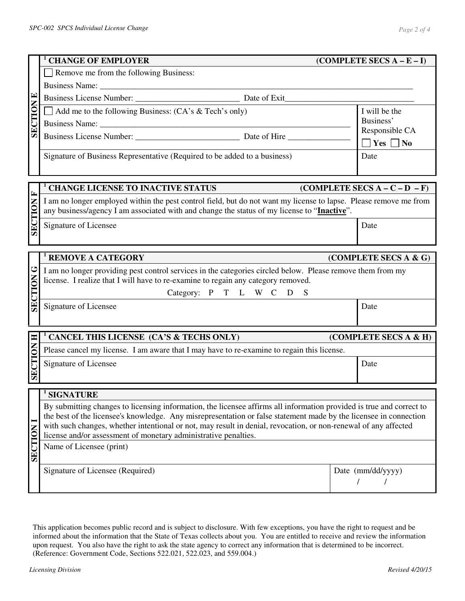Business Name:

Remove me from the following Business:

**1**

**SECTION E**   $\mathbf{r}$ Business License Number: <br>
Date of Exit **SECTION**  $\Box$  Add me to the following Business: (CA's & Tech's only) I will be the Business' Business Name: Responsible CA Business License Number: \_\_\_\_\_\_\_\_\_\_\_\_\_\_\_\_\_\_\_\_\_\_\_\_\_ Date of Hire \_\_\_\_\_\_\_\_\_\_\_\_\_\_\_  $\Box$  Yes  $\Box$  No Signature of Business Representative (Required to be added to a business) **Date 1 CHANGE LICENSE TO INACTIVE STATUS (COMPLETE SECS A – C – D – F) SECTION F**   $\mathbf{r}$ I am no longer employed within the pest control field, but do not want my license to lapse. Please remove me from SECTION any business/agency I am associated with and change the status of my license to "**Inactive**". Signature of Licensee Date **1 REMOVE A CATEGORY** *COMPLETE SECS A & G***) SECTION G**  I am no longer providing pest control services in the categories circled below. Please remove them from my SECTION license. I realize that I will have to re-examine to regain any category removed. Category: P T L W C D S Signature of Licensee **Date 1 CANCEL THIS LICENSE (CA'S & TECHS ONLY) (COMPLETE SECS A & H) SECTION H** Please cancel my license. I am aware that I may have to re-examine to regain this license. Signature of Licensee Date **1 SIGNATURE**  By submitting changes to licensing information, the licensee affirms all information provided is true and correct to the best of the licensee's knowledge. Any misrepresentation or false statement made by the licensee in connection **SECTION I**  with such changes, whether intentional or not, may result in denial, revocation, or non-renewal of any affected **SECTION** license and/or assessment of monetary administrative penalties. Name of Licensee (print)

Signature of Licensee (Required) Date (mm/dd/yyyy) / /

This application becomes public record and is subject to disclosure. With few exceptions, you have the right to request and be informed about the information that the State of Texas collects about you. You are entitled to receive and review the information upon request. You also have the right to ask the state agency to correct any information that is determined to be incorrect. (Reference: Government Code, Sections 522.021, 522.023, and 559.004.)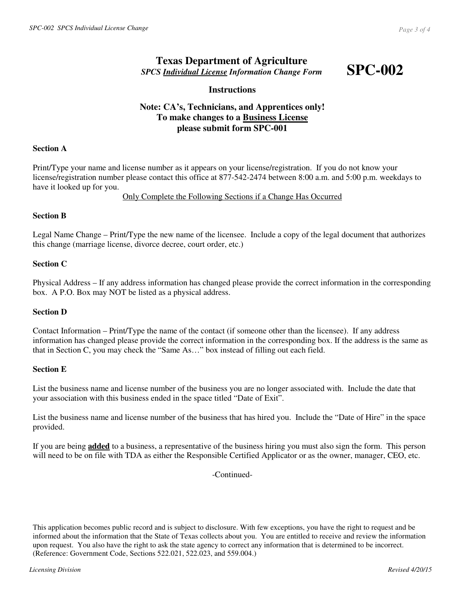## **Texas Department of Agriculture**  *SPCS Individual License Information Change Form*

**SPC-002** 

## **Instructions**

## **Note: CA's, Technicians, and Apprentices only! To make changes to a Business License please submit form SPC-001**

### **Section A**

Print/Type your name and license number as it appears on your license/registration. If you do not know your license/registration number please contact this office at 877-542-2474 between 8:00 a.m. and 5:00 p.m. weekdays to have it looked up for you.

#### Only Complete the Following Sections if a Change Has Occurred

## **Section B**

Legal Name Change – Print/Type the new name of the licensee. Include a copy of the legal document that authorizes this change (marriage license, divorce decree, court order, etc.)

## **Section C**

Physical Address – If any address information has changed please provide the correct information in the corresponding box. A P.O. Box may NOT be listed as a physical address.

#### **Section D**

Contact Information – Print/Type the name of the contact (if someone other than the licensee). If any address information has changed please provide the correct information in the corresponding box. If the address is the same as that in Section C, you may check the "Same As…" box instead of filling out each field.

#### **Section E**

List the business name and license number of the business you are no longer associated with. Include the date that your association with this business ended in the space titled "Date of Exit".

List the business name and license number of the business that has hired you. Include the "Date of Hire" in the space provided.

If you are being **added** to a business, a representative of the business hiring you must also sign the form. This person will need to be on file with TDA as either the Responsible Certified Applicator or as the owner, manager, CEO, etc.

-Continued-

This application becomes public record and is subject to disclosure. With few exceptions, you have the right to request and be informed about the information that the State of Texas collects about you. You are entitled to receive and review the information upon request. You also have the right to ask the state agency to correct any information that is determined to be incorrect. (Reference: Government Code, Sections 522.021, 522.023, and 559.004.)